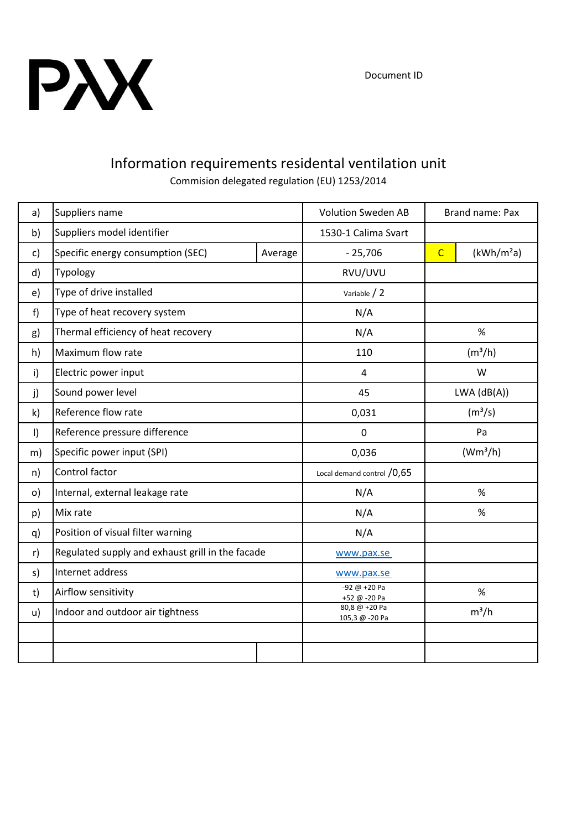

## Information requirements residental ventilation unit

Commision delegated regulation (EU) 1253/2014

| a)           | Suppliers name                                   |         | <b>Volution Sweden AB</b>       | Brand name: Pax     |                        |
|--------------|--------------------------------------------------|---------|---------------------------------|---------------------|------------------------|
| b)           | Suppliers model identifier                       |         | 1530-1 Calima Svart             |                     |                        |
| c)           | Specific energy consumption (SEC)                | Average | $-25,706$                       | $\overline{C}$      | (kWh/m <sup>2</sup> a) |
| d)           | Typology                                         |         | RVU/UVU                         |                     |                        |
| e)           | Type of drive installed                          |         | Variable / 2                    |                     |                        |
| f)           | Type of heat recovery system                     |         | N/A                             |                     |                        |
| g)           | Thermal efficiency of heat recovery              |         | N/A                             | %                   |                        |
| h)           | Maximum flow rate                                |         | 110                             | (m <sup>3</sup> /h) |                        |
| i)           | Electric power input                             |         | $\overline{4}$                  | W                   |                        |
| j)           | Sound power level                                |         | 45                              | $LWA$ ( $dB(A)$ )   |                        |
| $\mathsf{k}$ | Reference flow rate                              |         | 0,031                           | (m <sup>3</sup> /s) |                        |
| $\vert$      | Reference pressure difference                    |         | $\overline{0}$                  | Pa                  |                        |
| m)           | Specific power input (SPI)                       |         | 0,036                           | $(Wm^3/h)$          |                        |
| n)           | Control factor                                   |         | Local demand control / 0,65     |                     |                        |
| o)           | Internal, external leakage rate                  |         | N/A                             | %                   |                        |
| p)           | Mix rate                                         |         | N/A                             | %                   |                        |
| q)           | Position of visual filter warning                |         | N/A                             |                     |                        |
| r)           | Regulated supply and exhaust grill in the facade |         | www.pax.se                      |                     |                        |
| s)           | Internet address                                 |         | www.pax.se                      |                     |                        |
| t)           | Airflow sensitivity                              |         | $-92 @ +20 Pa$<br>+52 @ -20 Pa  | $\%$                |                        |
| u)           | Indoor and outdoor air tightness                 |         | 80,8 @ +20 Pa<br>105,3 @ -20 Pa | $m^3/h$             |                        |
|              |                                                  |         |                                 |                     |                        |
|              |                                                  |         |                                 |                     |                        |